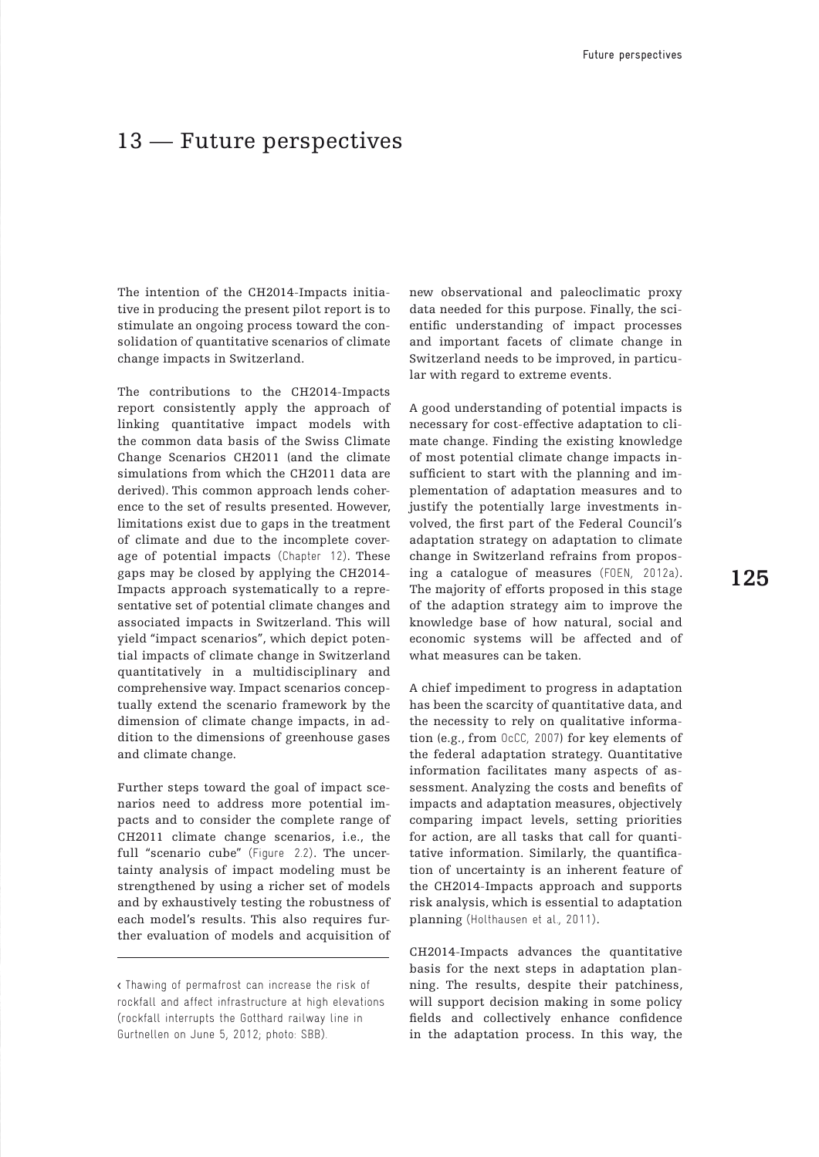## 13 – Future perspectives

The intention of the CH2014-Impacts initiative in producing the present pilot report is to stimulate an ongoing process toward the consolidation of quantitative scenarios of climate change impacts in Switzerland.

The contributions to the CH2014-Impacts report consistently apply the approach of linking quantitative impact models with the common data basis of the Swiss Climate Change Scenarios CH2011 (and the climate simulations from which the CH2011 data are derived). This common approach lends coherence to the set of results presented. However, limitations exist due to gaps in the treatment of climate and due to the incomplete coverage of potential impacts (Chapter 12). These gaps may be closed by applying the CH2014- Impacts approach systematically to a representative set of potential climate changes and associated impacts in Switzerland. This will yield "impact scenarios", which depict potential impacts of climate change in Switzerland quantitatively in a multidisciplinary and comprehensive way. Impact scenarios conceptually extend the scenario framework by the dimension of climate change impacts, in addition to the dimensions of greenhouse gases and climate change.

Further steps toward the goal of impact scenarios need to address more potential impacts and to consider the complete range of CH2011 climate change scenarios, i.e., the full "scenario cube" (Figure 2.2). The uncertainty analysis of impact modeling must be strengthened by using a richer set of models and by exhaustively testing the robustness of each model's results. This also requires further evaluation of models and acquisition of

new observational and paleoclimatic proxy data needed for this purpose. Finally, the scientific understanding of impact processes and important facets of climate change in Switzerland needs to be improved, in particular with regard to extreme events.

A good understanding of potential impacts is necessary for cost-effective adaptation to climate change. Finding the existing knowledge of most potential climate change impacts insufficient to start with the planning and implementation of adaptation measures and to justify the potentially large investments involved, the first part of the Federal Council's adaptation strategy on adaptation to climate change in Switzerland refrains from proposing a catalogue of measures (FOEN, 2012a). The majority of efforts proposed in this stage of the adaption strategy aim to improve the knowledge base of how natural, social and economic systems will be affected and of what measures can be taken.

A chief impediment to progress in adaptation has been the scarcity of quantitative data, and the necessity to rely on qualitative information (e.g., from OcCC, 2007) for key elements of the federal adaptation strategy. Quantitative information facilitates many aspects of assessment. Analyzing the costs and benefits of impacts and adaptation measures, objectively comparing impact levels, setting priorities for action, are all tasks that call for quantitative information. Similarly, the quantification of uncertainty is an inherent feature of the CH2014-Impacts approach and supports risk analysis, which is essential to adaptation planning (Holthausen et al., 2011).

CH2014-Impacts advances the quantitative basis for the next steps in adaptation planning. The results, despite their patchiness, will support decision making in some policy fields and collectively enhance confidence in the adaptation process. In this way, the

<sup>&</sup>lt; Thawing of permafrost can increase the risk of rockfall and affect infrastructure at high elevations (rockfall interrupts the Gotthard railway line in Gurtnellen on June 5, 2012; photo: SBB).